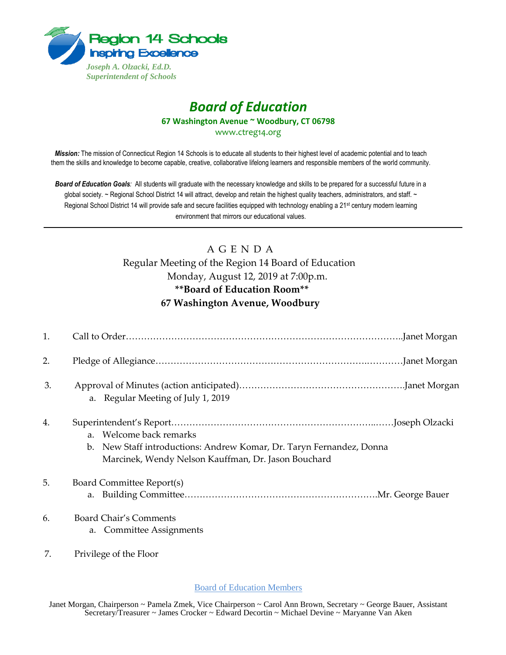

## *Board of Education* **67 Washington Avenue ~ Woodbury, CT 06798**

www.ctreg14.org

*Mission:* The mission of Connecticut Region 14 Schools is to educate all students to their highest level of academic potential and to teach them the skills and knowledge to become capable, creative, collaborative lifelong learners and responsible members of the world community.

*Board of Education Goals:* All students will graduate with the necessary knowledge and skills to be prepared for a successful future in a global society. ~ Regional School District 14 will attract, develop and retain the highest quality teachers, administrators, and staff. ~ Regional School District 14 will provide safe and secure facilities equipped with technology enabling a 21<sup>st</sup> century modern learning environment that mirrors our educational values.

## A G E N D A

Regular Meeting of the Region 14 Board of Education Monday, August 12, 2019 at 7:00p.m. **\*\*Board of Education Room\*\* 67 Washington Avenue, Woodbury** 

| 1. |                                                                                                                                                        |
|----|--------------------------------------------------------------------------------------------------------------------------------------------------------|
| 2. |                                                                                                                                                        |
| 3. | a. Regular Meeting of July 1, 2019                                                                                                                     |
| 4. | a. Welcome back remarks<br>b. New Staff introductions: Andrew Komar, Dr. Taryn Fernandez, Donna<br>Marcinek, Wendy Nelson Kauffman, Dr. Jason Bouchard |
| 5. | Board Committee Report(s)                                                                                                                              |
| 6. | Board Chair's Comments<br>a. Committee Assignments                                                                                                     |
| 7. | Privilege of the Floor                                                                                                                                 |

Board of Education Members

Janet Morgan, Chairperson ~ Pamela Zmek, Vice Chairperson ~ Carol Ann Brown, Secretary ~ George Bauer, Assistant Secretary/Treasurer ~ James Crocker ~ Edward Decortin ~ Michael Devine ~ Maryanne Van Aken